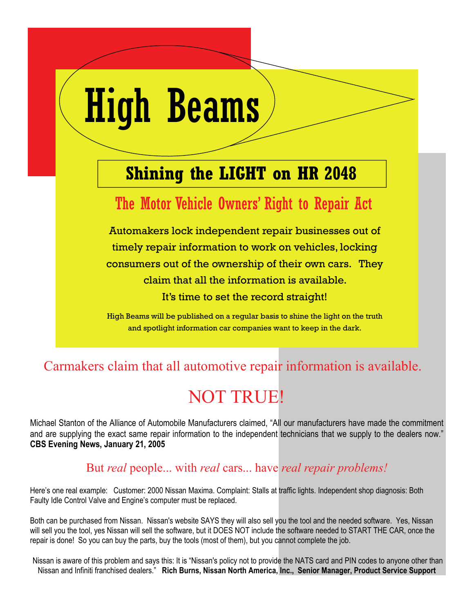# High Beams

## **Shining the LIGHT on HR 2048**

### The Motor Vehicle Owners' Right to Repair Act

Automakers lock independent repair businesses out of timely repair information to work on vehicles, locking consumers out of the ownership of their own cars. They claim that all the information is available. It's time to set the record straight!

High Beams will be published on a regular basis to shine the light on the truth and spotlight information car companies want to keep in the dark.

#### Carmakers claim that all automotive repair information is available.

## NOT TRUE!

Michael Stanton of the Alliance of Automobile Manufacturers claimed, "All our manufacturers have made the commitment and are supplying the exact same repair information to the independent technicians that we supply to the dealers now." **CBS Evening News, January 21, 2005**

#### But *real* people... with *real* cars... have *real repair problems!*

Here's one real example: Customer: 2000 Nissan Maxima. Complaint: Stalls at traffic lights. Independent shop diagnosis: Both Faulty Idle Control Valve and Engine's computer must be replaced.

Both can be purchased from Nissan. Nissan's website SAYS they will also sell you the tool and the needed software. Yes, Nissan will sell you the tool, yes Nissan will sell the software, but it DOES NOT include the software needed to START THE CAR, once the repair is done! So you can buy the parts, buy the tools (most of them), but you cannot complete the job.

 Nissan is aware of this problem and says this: It is "Nissan's policy not to provide the NATS card and PIN codes to anyone other than Nissan and Infiniti franchised dealers." **Rich Burns, Nissan North America, Inc., Senior Manager, Product Service Support**